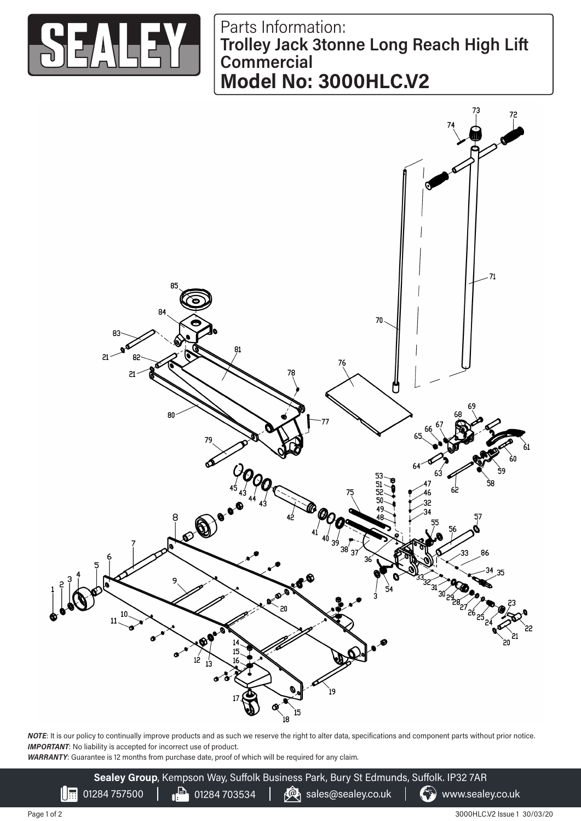

Parts Information: **Trolley Jack 3tonne Long Reach High Lift Commercial Model No: 3000HLC.V2**



*NOTE*: It is our policy to continually improve products and as such we reserve the right to alter data, specifications and component parts without prior notice. **IMPORTANT:** No liability is accepted for incorrect use of product.

*WARRANTY*: Guarantee is 12 months from purchase date, proof of which will be required for any claim.

**Sealey Group**, Kempson Way, Suffolk Business Park, Bury St Edmunds, Suffolk. IP32 7AR 01284 757500  $\Box$  01284 703534  $\Box$   $\mathbb{Q}_1$  sales@sealey.co.uk  $\Box$  www.sealey.co.uk

3000HLC.V2 Issue 1 30/03/20

III.